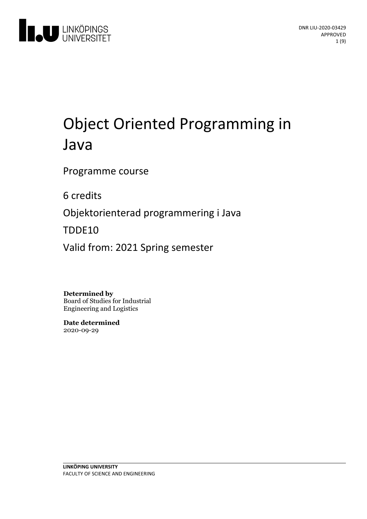

# Object Oriented Programming in Java

Programme course

6 credits

Objektorienterad programmering i Java

TDDE10

Valid from: 2021 Spring semester

**Determined by** Board of Studies for Industrial Engineering and Logistics

**Date determined** 2020-09-29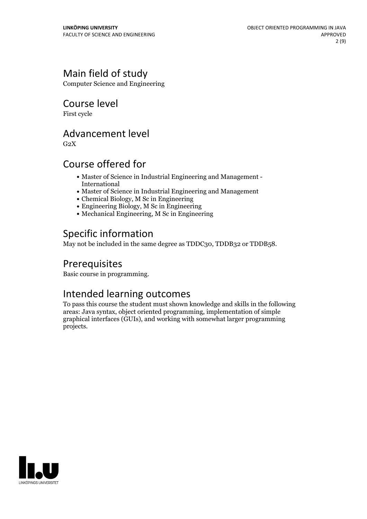# Main field of study

Computer Science and Engineering

Course level

First cycle

# Advancement level

 $G<sub>2</sub>X$ 

# Course offered for

- Master of Science in Industrial Engineering and Management International
- Master of Science in Industrial Engineering and Management
- Chemical Biology, M Sc in Engineering
- Engineering Biology, M Sc in Engineering
- Mechanical Engineering, M Sc in Engineering

# Specific information

May not be included in the same degree as TDDC30, TDDB32 or TDDB58.

# Prerequisites

Basic course in programming.

## Intended learning outcomes

To pass this course the student must shown knowledge and skills in the following areas: Java syntax, object oriented programming, implementation of simple graphical interfaces (GUIs), and working with somewhat larger programming projects.

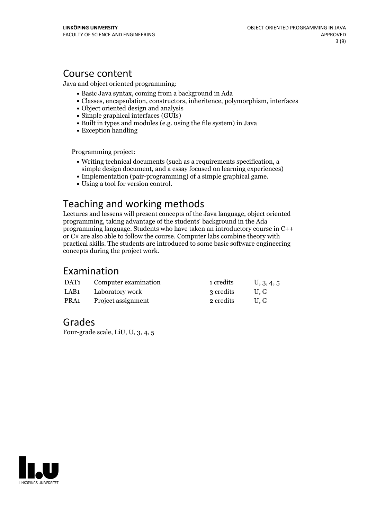### Course content

Java and object oriented programming:

- Basic Java syntax, coming from a background in Ada
- Classes, encapsulation, constructors, inheritence, polymorphism, interfaces
- Object oriented design and analysis
- Simple graphical interfaces (GUIs)
- Built in types and modules (e.g. using the file system) in Java
- Exception handling

Programming project:

- Writing technical documents (such as a requirements specification, a simple design document, and a essay focused on learning experiences)
- Implementation (pair-programming) of <sup>a</sup> simple graphical game. Using <sup>a</sup> tool for version control.
- 

# Teaching and working methods

Lectures and lessens will present concepts of the Java language, object oriented programming, taking advantage of the students' background in the Ada programming language. Students who have taken an introductory course in C++ or C# are also able to follow the course. Computer labs combine theory with practical skills. The students are introduced to some basic software engineering concepts during the project work.

### Examination

| DAT <sub>1</sub> | Computer examination | 1 credits | U, 3, 4, 5 |
|------------------|----------------------|-----------|------------|
| LAB1             | Laboratory work      | 3 credits | U.G        |
| PRA1             | Project assignment   | 2 credits | U.G        |

### Grades

Four-grade scale, LiU, U, 3, 4, 5

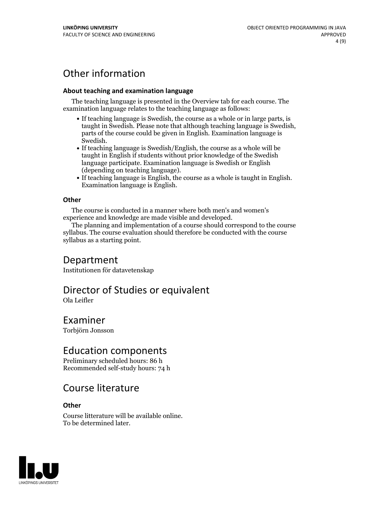# Other information

#### **About teaching and examination language**

The teaching language is presented in the Overview tab for each course. The examination language relates to the teaching language as follows:

- If teaching language is Swedish, the course as a whole or in large parts, is taught in Swedish. Please note that although teaching language is Swedish, parts of the course could be given in English. Examination language is
- Swedish.<br>• If teaching language is Swedish/English, the course as a whole will be taught in English if students without prior knowledge of the Swedish language participate. Examination language is Swedish or English
- (depending on teaching language).<br>
 If teaching language is English, the course as a whole is taught in English.<br>
Examination language is English.

#### **Other**

The course is conducted in a manner where both men's and women's

experience and knowledge are made visible and developed. The planning and implementation of <sup>a</sup> course should correspond to the course syllabus. The course evaluation should therefore be conducted with the course syllabus as a starting point.

### Department

Institutionen för datavetenskap

# Director of Studies or equivalent

Ola Leifler

# Examiner

Torbjörn Jonsson

### Education components

Preliminary scheduled hours: 86 h Recommended self-study hours: 74 h

## Course literature

#### **Other**

Course litterature will be available online. To be determined later.

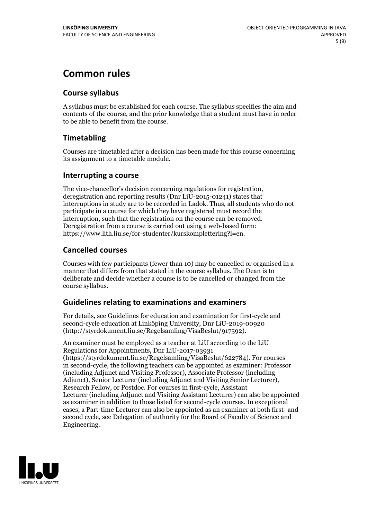# **Common rules**

### **Course syllabus**

A syllabus must be established for each course. The syllabus specifies the aim and contents of the course, and the prior knowledge that a student must have in order to be able to benefit from the course.

### **Timetabling**

Courses are timetabled after a decision has been made for this course concerning its assignment to a timetable module.

### **Interrupting a course**

The vice-chancellor's decision concerning regulations for registration, deregistration and reporting results (Dnr LiU-2015-01241) states that interruptions in study are to be recorded in Ladok. Thus, all students who do not participate in a course for which they have registered must record the interruption, such that the registration on the course can be removed. Deregistration from <sup>a</sup> course is carried outusing <sup>a</sup> web-based form: https://www.lith.liu.se/for-studenter/kurskomplettering?l=en.

### **Cancelled courses**

Courses with few participants (fewer than 10) may be cancelled or organised in a manner that differs from that stated in the course syllabus. The Dean is to deliberate and decide whether a course is to be cancelled or changed from the course syllabus.

### **Guidelines relatingto examinations and examiners**

For details, see Guidelines for education and examination for first-cycle and second-cycle education at Linköping University, Dnr LiU-2019-00920 (http://styrdokument.liu.se/Regelsamling/VisaBeslut/917592).

An examiner must be employed as a teacher at LiU according to the LiU Regulations for Appointments, Dnr LiU-2017-03931 (https://styrdokument.liu.se/Regelsamling/VisaBeslut/622784). For courses in second-cycle, the following teachers can be appointed as examiner: Professor (including Adjunct and Visiting Professor), Associate Professor (including Adjunct), Senior Lecturer (including Adjunct and Visiting Senior Lecturer), Research Fellow, or Postdoc. For courses in first-cycle, Assistant Lecturer (including Adjunct and Visiting Assistant Lecturer) can also be appointed as examiner in addition to those listed for second-cycle courses. In exceptional cases, a Part-time Lecturer can also be appointed as an examiner at both first- and second cycle, see Delegation of authority for the Board of Faculty of Science and Engineering.

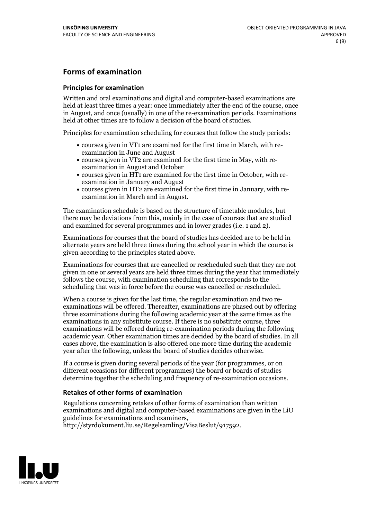### **Forms of examination**

#### **Principles for examination**

Written and oral examinations and digital and computer-based examinations are held at least three times a year: once immediately after the end of the course, once in August, and once (usually) in one of the re-examination periods. Examinations held at other times are to follow a decision of the board of studies.

Principles for examination scheduling for courses that follow the study periods:

- courses given in VT1 are examined for the first time in March, with re-examination in June and August
- courses given in VT2 are examined for the first time in May, with re-examination in August and October
- courses given in HT1 are examined for the first time in October, with re-examination in January and August
- courses given in HT2 are examined for the first time in January, with re-examination in March and in August.

The examination schedule is based on the structure of timetable modules, but there may be deviations from this, mainly in the case of courses that are studied and examined for several programmes and in lower grades (i.e. 1 and 2).

Examinations for courses that the board of studies has decided are to be held in alternate years are held three times during the school year in which the course is given according to the principles stated above.

Examinations for courses that are cancelled orrescheduled such that they are not given in one or several years are held three times during the year that immediately follows the course, with examination scheduling that corresponds to the scheduling that was in force before the course was cancelled or rescheduled.

When a course is given for the last time, the regular examination and two re-<br>examinations will be offered. Thereafter, examinations are phased out by offering three examinations during the following academic year at the same times as the examinations in any substitute course. If there is no substitute course, three examinations will be offered during re-examination periods during the following academic year. Other examination times are decided by the board of studies. In all cases above, the examination is also offered one more time during the academic year after the following, unless the board of studies decides otherwise.

If a course is given during several periods of the year (for programmes, or on different occasions for different programmes) the board or boards of studies determine together the scheduling and frequency of re-examination occasions.

#### **Retakes of other forms of examination**

Regulations concerning retakes of other forms of examination than written examinations and digital and computer-based examinations are given in the LiU guidelines for examinations and examiners, http://styrdokument.liu.se/Regelsamling/VisaBeslut/917592.

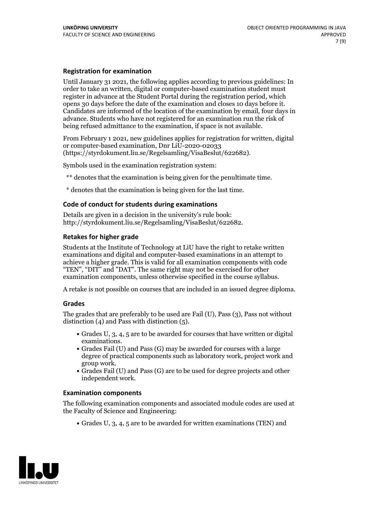#### **Registration for examination**

Until January 31 2021, the following applies according to previous guidelines: In order to take an written, digital or computer-based examination student must register in advance at the Student Portal during the registration period, which Candidates are informed of the location of the examination by email, four days in advance. Students who have not registered for an examination run the risk of being refused admittance to the examination, if space is not available.

From February 1 2021, new guidelines applies for registration for written, digital or computer-based examination, Dnr LiU-2020-02033 (https://styrdokument.liu.se/Regelsamling/VisaBeslut/622682).

Symbols used in the examination registration system:

\*\* denotes that the examination is being given for the penultimate time.

\* denotes that the examination is being given for the last time.

#### **Code of conduct for students during examinations**

Details are given in a decision in the university's rule book: http://styrdokument.liu.se/Regelsamling/VisaBeslut/622682.

#### **Retakes for higher grade**

Students at the Institute of Technology at LiU have the right to retake written examinations and digital and computer-based examinations in an attempt to achieve a higher grade. This is valid for all examination components with code "TEN", "DIT" and "DAT". The same right may not be exercised for other examination components, unless otherwise specified in the course syllabus.

A retake is not possible on courses that are included in an issued degree diploma.

#### **Grades**

The grades that are preferably to be used are Fail (U), Pass (3), Pass not without distinction  $(4)$  and Pass with distinction  $(5)$ .

- Grades U, 3, 4, 5 are to be awarded for courses that have written or digital
- examinations.<br>• Grades Fail (U) and Pass (G) may be awarded for courses with a large degree of practical components such as laboratory work, project work and
- $\bullet$  Grades Fail (U) and Pass (G) are to be used for degree projects and other independent work.

#### **Examination components**

The following examination components and associated module codes are used at the Faculty of Science and Engineering:

Grades U, 3, 4, 5 are to be awarded for written examinations (TEN) and

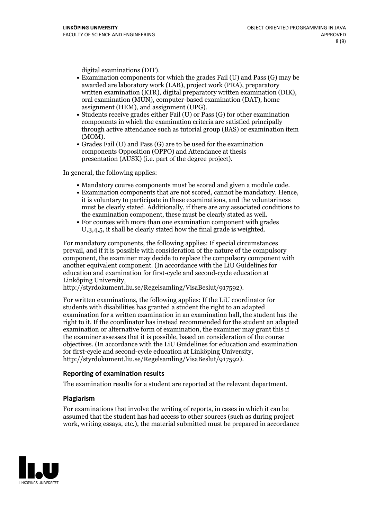- digital examinations (DIT).<br>• Examination components for which the grades Fail (U) and Pass (G) may be awarded are laboratory work (LAB), project work (PRA), preparatory written examination (KTR), digital preparatory written examination (DIK), oral examination (MUN), computer-based examination (DAT), home
- assignment (HEM), and assignment (UPG).<br>• Students receive grades either Fail (U) or Pass (G) for other examination components in which the examination criteria are satisfied principally through active attendance such as tutorial group (BAS) or examination item
- (MOM).<br>• Grades Fail (U) and Pass (G) are to be used for the examination components Opposition (OPPO) and Attendance at thesis presentation (AUSK) (i.e. part of the degree project).

In general, the following applies:

- 
- Mandatory course components must be scored and given <sup>a</sup> module code. Examination components that are not scored, cannot be mandatory. Hence, it is voluntary to participate in these examinations, and the voluntariness must be clearly stated. Additionally, if there are any associated conditions to the examination component, these must be clearly stated as well.<br>• For courses with more than one examination component with grades
- U,3,4,5, it shall be clearly stated how the final grade is weighted.

For mandatory components, the following applies: If special circumstances prevail, and if it is possible with consideration of the nature ofthe compulsory component, the examiner may decide to replace the compulsory component with another equivalent component. (In accordance with the LiU Guidelines for education and examination for first-cycle and second-cycle education at Linköping University, http://styrdokument.liu.se/Regelsamling/VisaBeslut/917592).

For written examinations, the following applies: If the LiU coordinator for students with disabilities has granted a student the right to an adapted examination for a written examination in an examination hall, the student has the right to it. If the coordinator has instead recommended for the student an adapted examination or alternative form of examination, the examiner may grant this if the examiner assesses that it is possible, based on consideration of the course objectives. (In accordance with the LiU Guidelines for education and examination for first-cycle and second-cycle education at Linköping University, http://styrdokument.liu.se/Regelsamling/VisaBeslut/917592).

#### **Reporting of examination results**

The examination results for a student are reported at the relevant department.

#### **Plagiarism**

For examinations that involve the writing of reports, in cases in which it can be assumed that the student has had access to other sources (such as during project work, writing essays, etc.), the material submitted must be prepared in accordance